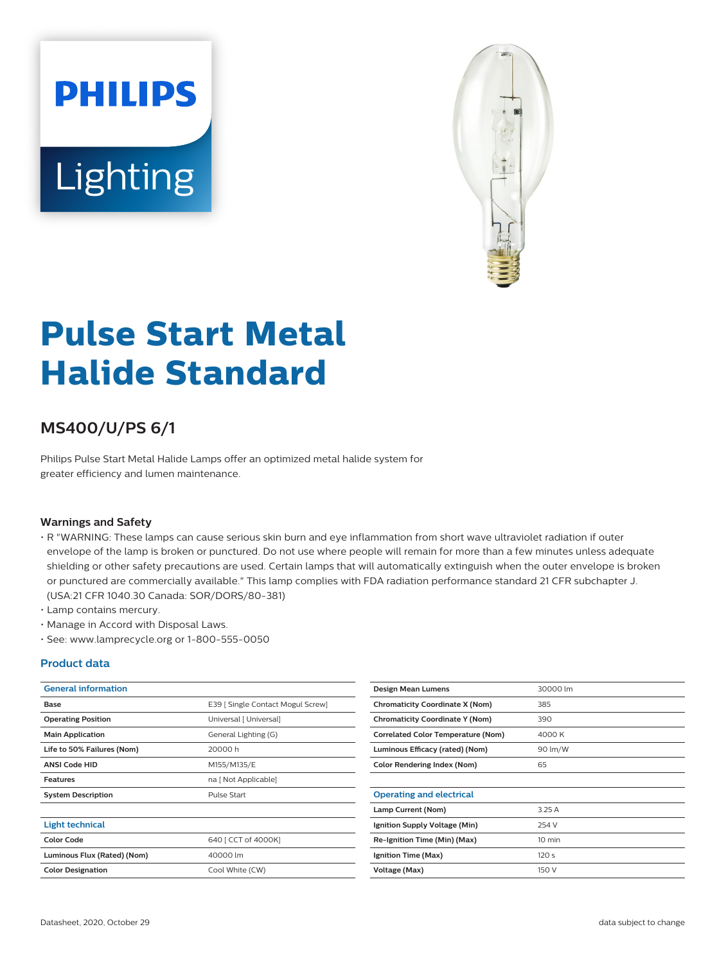# **PHILIPS** Lighting



# **Pulse Start Metal Halide Standard**

## **MS400/U/PS 6/1**

Philips Pulse Start Metal Halide Lamps offer an optimized metal halide system for greater efficiency and lumen maintenance.

#### **Warnings and Safety**

- R "WARNING: These lamps can cause serious skin burn and eye inflammation from short wave ultraviolet radiation if outer envelope of the lamp is broken or punctured. Do not use where people will remain for more than a few minutes unless adequate shielding or other safety precautions are used. Certain lamps that will automatically extinguish when the outer envelope is broken or punctured are commercially available." This lamp complies with FDA radiation performance standard 21 CFR subchapter J. (USA:21 CFR 1040.30 Canada: SOR/DORS/80-381)
- Lamp contains mercury.
- Manage in Accord with Disposal Laws.
- See: www.lamprecycle.org or 1-800-555-0050

#### **Product data**

| <b>General information</b>  |                                   | Design Mean Lumens                        | 30000 lm         |
|-----------------------------|-----------------------------------|-------------------------------------------|------------------|
| Base                        | E39 [ Single Contact Mogul Screw] | <b>Chromaticity Coordinate X (Nom)</b>    | 385              |
| <b>Operating Position</b>   | Universal [ Universal]            | <b>Chromaticity Coordinate Y (Nom)</b>    | 390              |
| <b>Main Application</b>     | General Lighting (G)              | <b>Correlated Color Temperature (Nom)</b> | 4000 K           |
| Life to 50% Failures (Nom)  | 20000 h                           | Luminous Efficacy (rated) (Nom)           | 90 lm/W          |
| <b>ANSI Code HID</b>        | M155/M135/E                       | <b>Color Rendering Index (Nom)</b>        | 65               |
| <b>Features</b>             | na [ Not Applicable]              |                                           |                  |
| <b>System Description</b>   | Pulse Start                       | <b>Operating and electrical</b>           |                  |
|                             |                                   | Lamp Current (Nom)                        | 3.25A            |
| <b>Light technical</b>      |                                   | Ignition Supply Voltage (Min)             | 254 V            |
| <b>Color Code</b>           | 640 [ CCT of 4000K]               | Re-Ignition Time (Min) (Max)              | 10 min           |
| Luminous Flux (Rated) (Nom) | 40000 lm                          | Ignition Time (Max)                       | 120 <sub>s</sub> |
| <b>Color Designation</b>    | Cool White (CW)                   | Voltage (Max)                             | 150 V            |
|                             |                                   |                                           |                  |